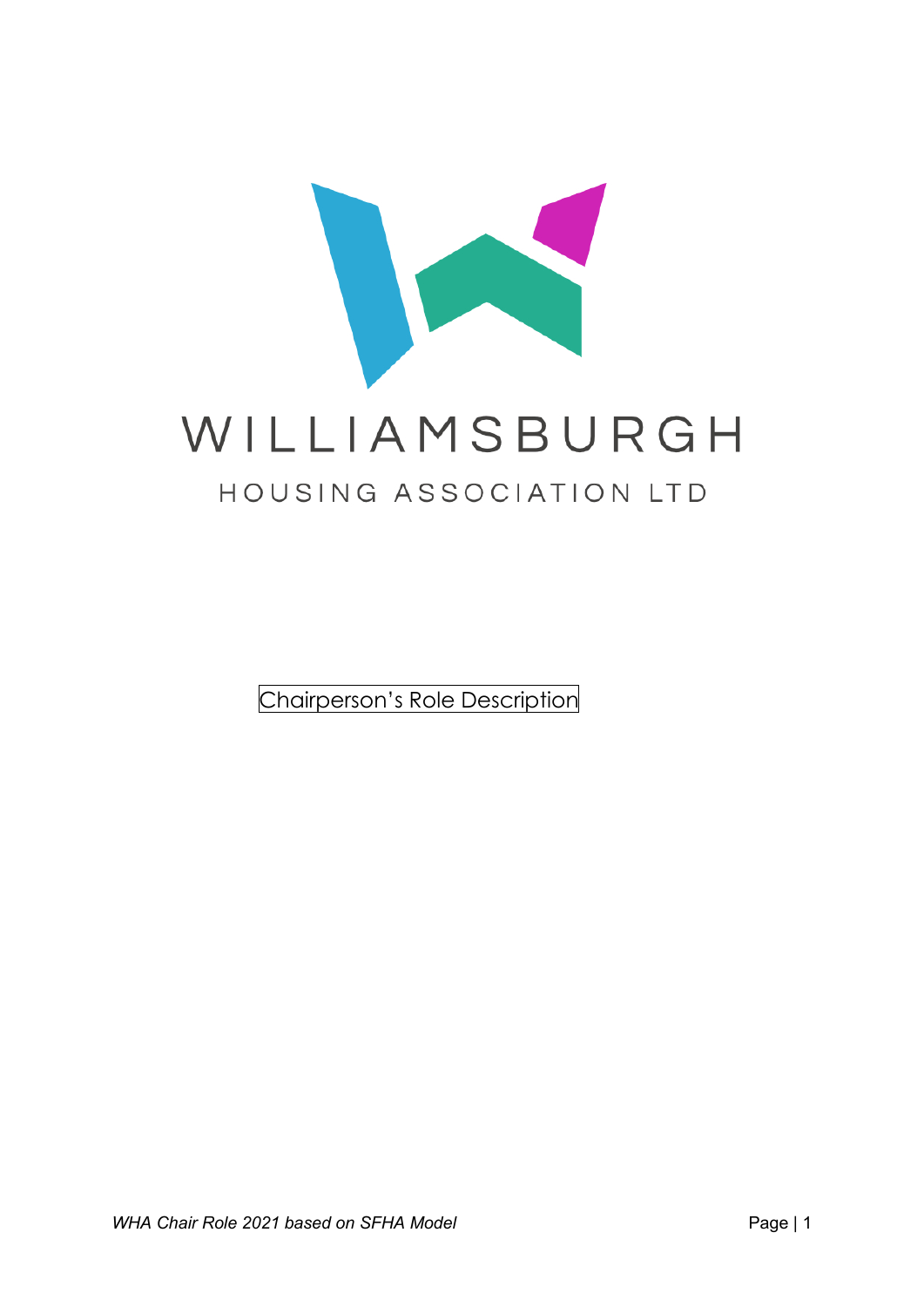

Chairperson's Role Description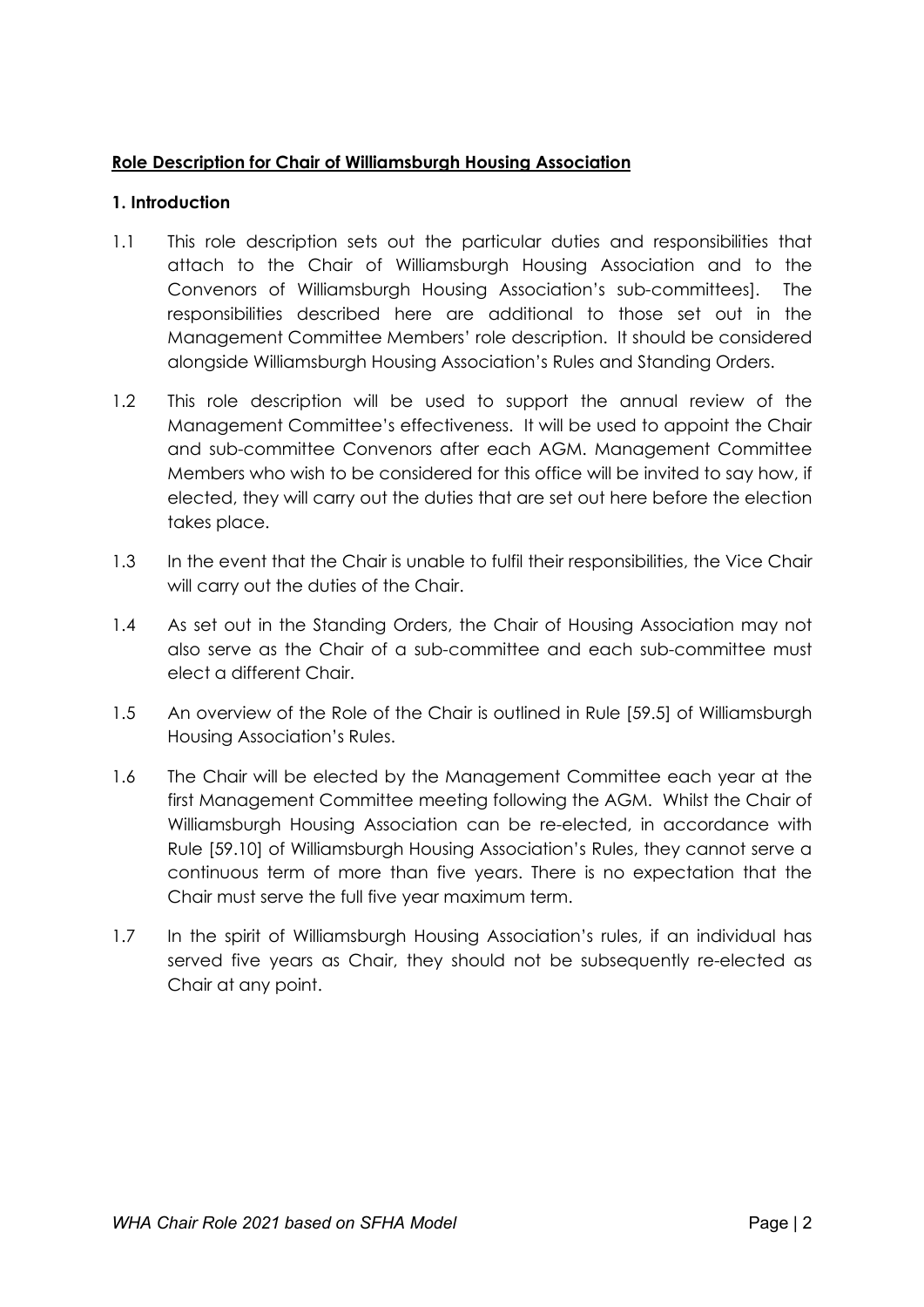## **Role Description for Chair of Williamsburgh Housing Association**

# **1. Introduction**

- 1.1 This role description sets out the particular duties and responsibilities that attach to the Chair of Williamsburgh Housing Association and to the Convenors of Williamsburgh Housing Association's sub-committees]. The responsibilities described here are additional to those set out in the Management Committee Members' role description. It should be considered alongside Williamsburgh Housing Association's Rules and Standing Orders.
- 1.2 This role description will be used to support the annual review of the Management Committee's effectiveness. It will be used to appoint the Chair and sub-committee Convenors after each AGM. Management Committee Members who wish to be considered for this office will be invited to say how, if elected, they will carry out the duties that are set out here before the election takes place.
- 1.3 In the event that the Chair is unable to fulfil their responsibilities, the Vice Chair will carry out the duties of the Chair.
- 1.4 As set out in the Standing Orders, the Chair of Housing Association may not also serve as the Chair of a sub-committee and each sub-committee must elect a different Chair.
- 1.5 An overview of the Role of the Chair is outlined in Rule [59.5] of Williamsburgh Housing Association's Rules.
- 1.6 The Chair will be elected by the Management Committee each year at the first Management Committee meeting following the AGM. Whilst the Chair of Williamsburgh Housing Association can be re-elected, in accordance with Rule [59.10] of Williamsburgh Housing Association's Rules, they cannot serve a continuous term of more than five years. There is no expectation that the Chair must serve the full five year maximum term.
- 1.7 In the spirit of Williamsburgh Housing Association's rules, if an individual has served five years as Chair, they should not be subsequently re-elected as Chair at any point.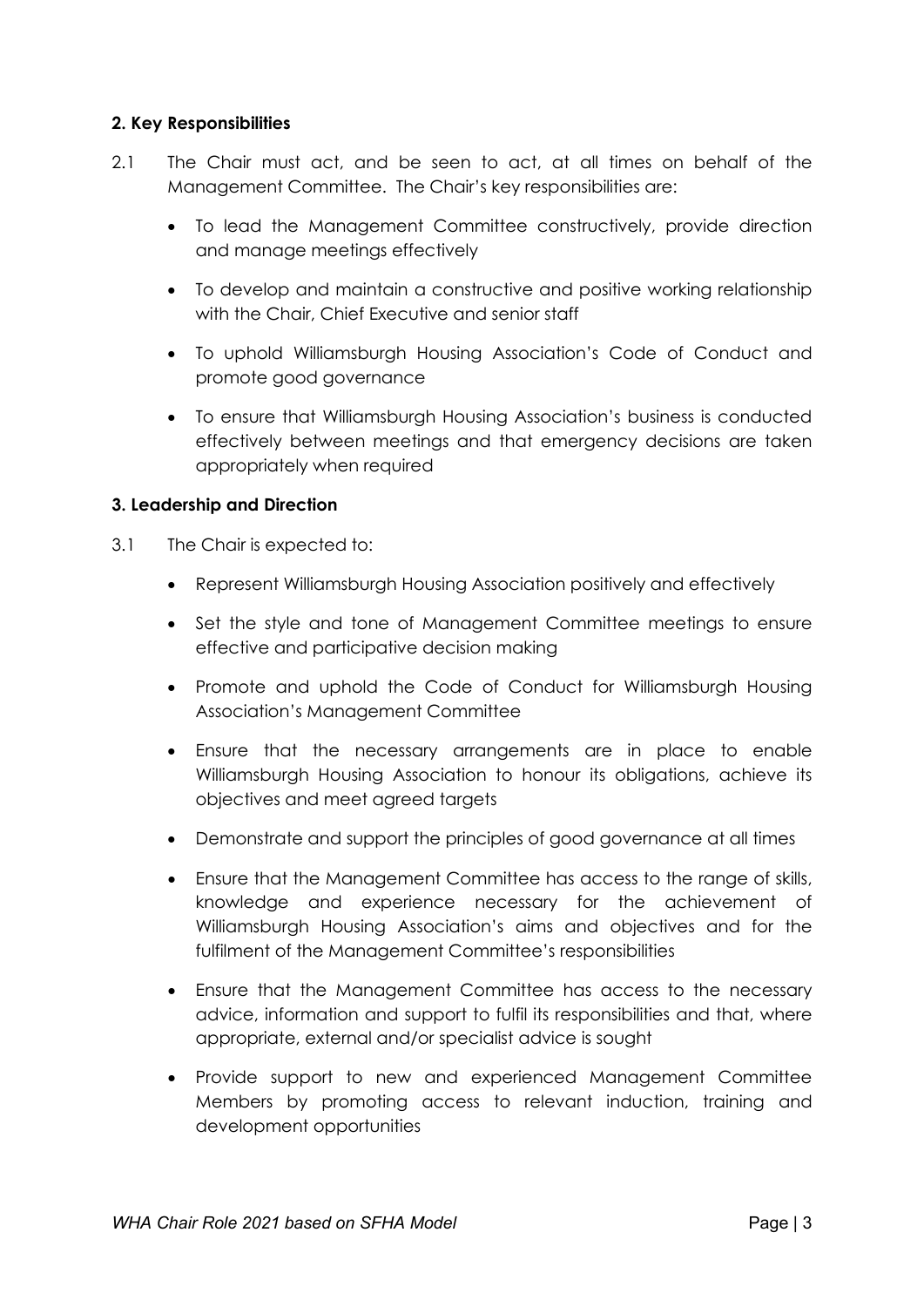## **2. Key Responsibilities**

- 2.1 The Chair must act, and be seen to act, at all times on behalf of the Management Committee. The Chair's key responsibilities are:
	- To lead the Management Committee constructively, provide direction and manage meetings effectively
	- To develop and maintain a constructive and positive working relationship with the Chair, Chief Executive and senior staff
	- To uphold Williamsburgh Housing Association's Code of Conduct and promote good governance
	- To ensure that Williamsburgh Housing Association's business is conducted effectively between meetings and that emergency decisions are taken appropriately when required

#### **3. Leadership and Direction**

- 3.1 The Chair is expected to:
	- Represent Williamsburgh Housing Association positively and effectively
	- Set the style and tone of Management Committee meetings to ensure effective and participative decision making
	- Promote and uphold the Code of Conduct for Williamsburgh Housing Association's Management Committee
	- Ensure that the necessary arrangements are in place to enable Williamsburgh Housing Association to honour its obligations, achieve its objectives and meet agreed targets
	- Demonstrate and support the principles of good governance at all times
	- Ensure that the Management Committee has access to the range of skills, knowledge and experience necessary for the achievement of Williamsburgh Housing Association's aims and objectives and for the fulfilment of the Management Committee's responsibilities
	- Ensure that the Management Committee has access to the necessary advice, information and support to fulfil its responsibilities and that, where appropriate, external and/or specialist advice is sought
	- Provide support to new and experienced Management Committee Members by promoting access to relevant induction, training and development opportunities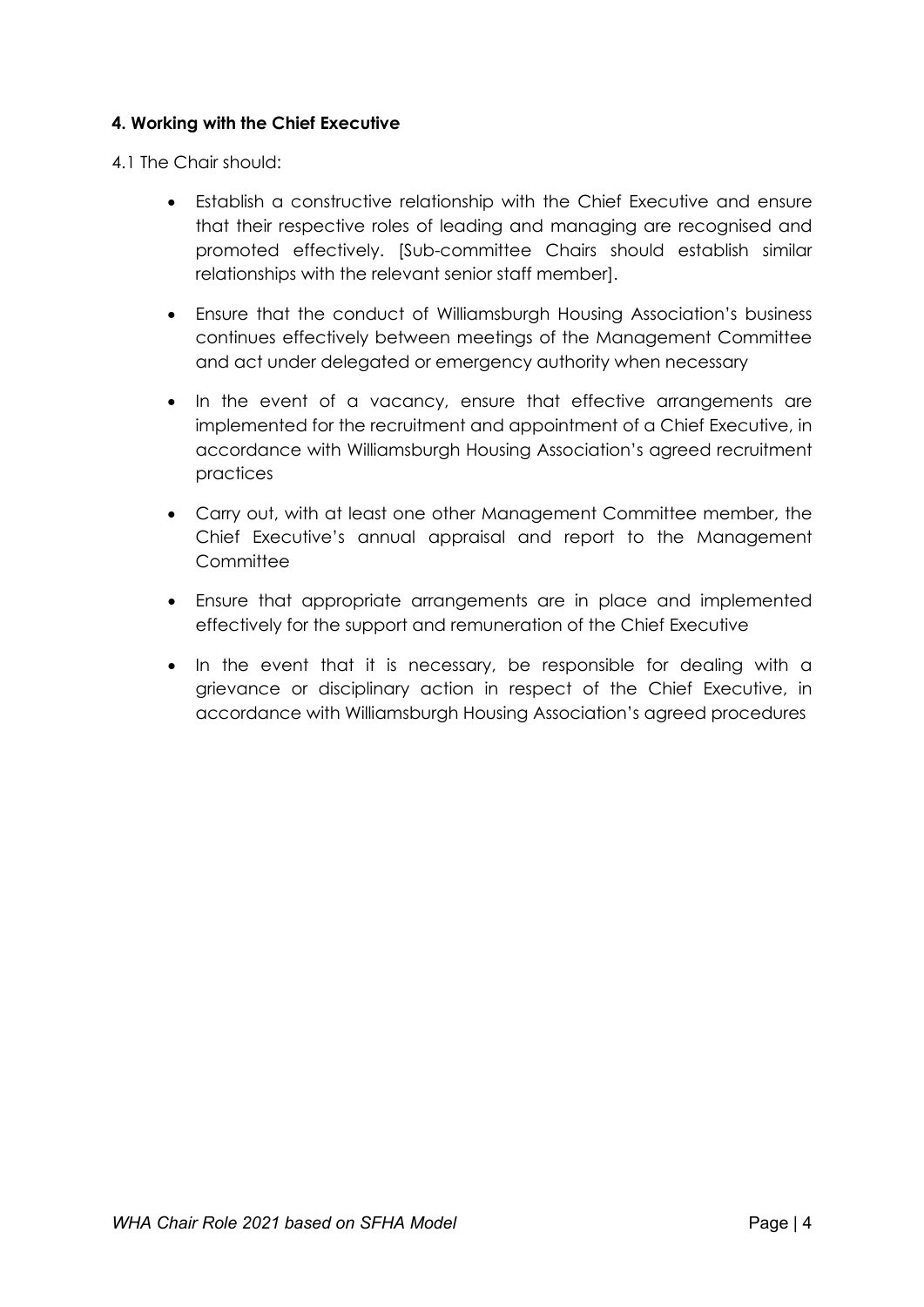#### **4. Working with the Chief Executive**

4.1 The Chair should:

- Establish a constructive relationship with the Chief Executive and ensure that their respective roles of leading and managing are recognised and promoted effectively. [Sub-committee Chairs should establish similar relationships with the relevant senior staff member].
- Ensure that the conduct of Williamsburgh Housing Association's business continues effectively between meetings of the Management Committee and act under delegated or emergency authority when necessary
- In the event of a vacancy, ensure that effective arrangements are implemented for the recruitment and appointment of a Chief Executive, in accordance with Williamsburgh Housing Association's agreed recruitment practices
- Carry out, with at least one other Management Committee member, the Chief Executive's annual appraisal and report to the Management **Committee**
- Ensure that appropriate arrangements are in place and implemented effectively for the support and remuneration of the Chief Executive
- In the event that it is necessary, be responsible for dealing with a grievance or disciplinary action in respect of the Chief Executive, in accordance with Williamsburgh Housing Association's agreed procedures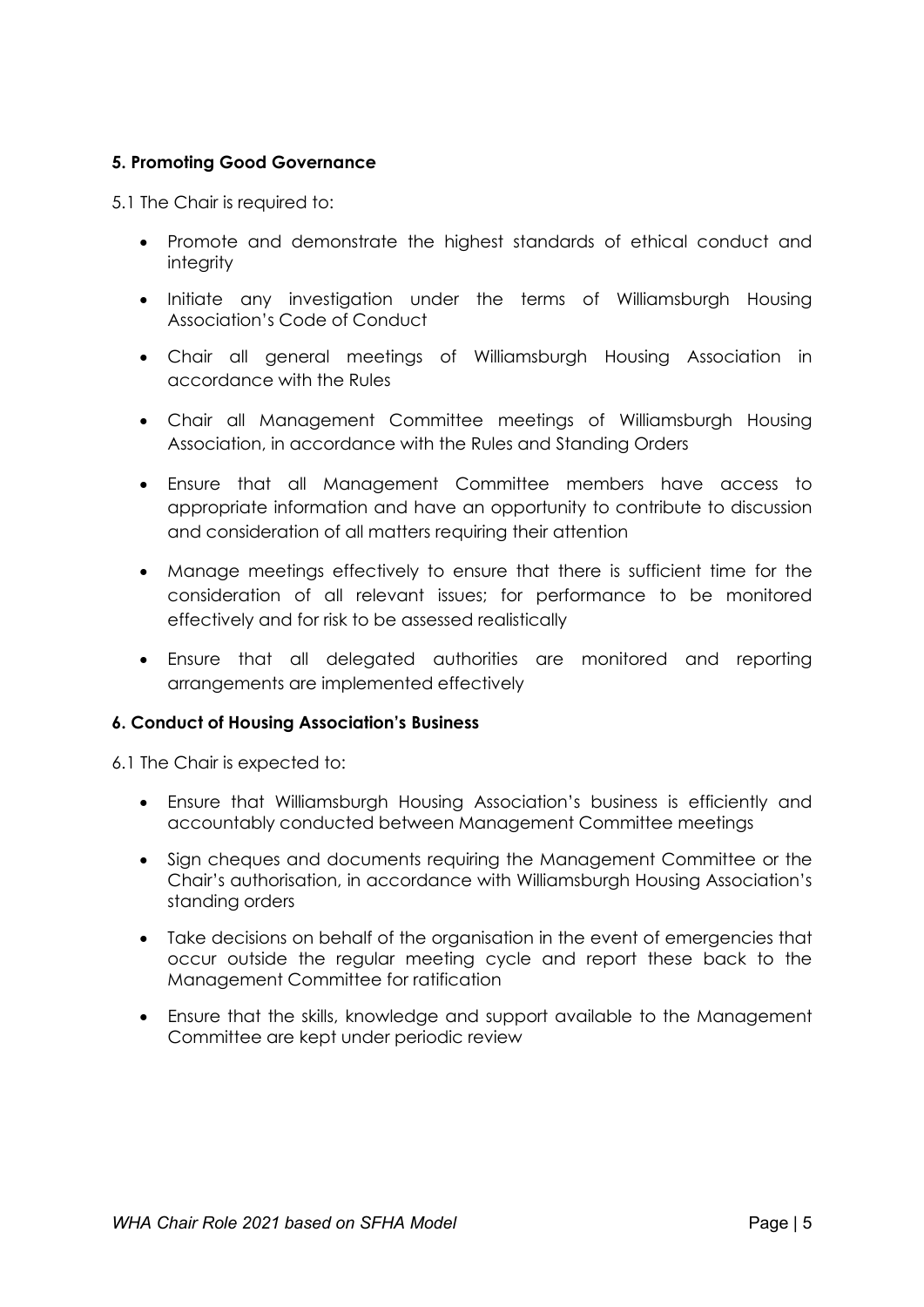# **5. Promoting Good Governance**

5.1 The Chair is required to:

- Promote and demonstrate the highest standards of ethical conduct and integrity
- Initiate any investigation under the terms of Williamsburgh Housing Association's Code of Conduct
- Chair all general meetings of Williamsburgh Housing Association in accordance with the Rules
- Chair all Management Committee meetings of Williamsburgh Housing Association, in accordance with the Rules and Standing Orders
- Ensure that all Management Committee members have access to appropriate information and have an opportunity to contribute to discussion and consideration of all matters requiring their attention
- Manage meetings effectively to ensure that there is sufficient time for the consideration of all relevant issues; for performance to be monitored effectively and for risk to be assessed realistically
- Ensure that all delegated authorities are monitored and reporting arrangements are implemented effectively

#### **6. Conduct of Housing Association's Business**

6.1 The Chair is expected to:

- Ensure that Williamsburgh Housing Association's business is efficiently and accountably conducted between Management Committee meetings
- Sign cheques and documents requiring the Management Committee or the Chair's authorisation, in accordance with Williamsburgh Housing Association's standing orders
- Take decisions on behalf of the organisation in the event of emergencies that occur outside the regular meeting cycle and report these back to the Management Committee for ratification
- Ensure that the skills, knowledge and support available to the Management Committee are kept under periodic review